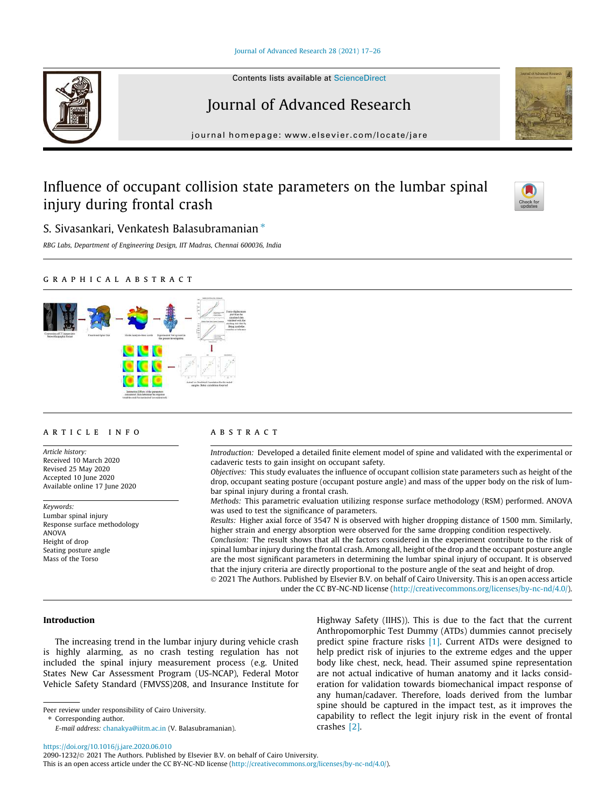## Journal of Advanced Research 28 (2021) 17–26



Contents lists available at ScienceDirect

# Journal of Advanced Research

journal homepage: www.elsevier.com/locate/jare

# Influence of occupant collision state parameters on the lumbar spinal injury during frontal crash



S. Sivasankari, Venkatesh Balasubramanian  $*$ 

*RBG Labs, Department of Engineering Design, IIT Madras, Chennai 600036, India*

## graphical abstract



#### article info

*Article history:* Received 10 March 2020 Revised 25 May 2020 Accepted 10 June 2020 Available online 17 June 2020

*Keywords:* Lumbar spinal injury Response surface methodology ANOVA Height of drop Seating posture angle Mass of the Torso

## **ABSTRACT**

*Introduction:* Developed a detailed finite element model of spine and validated with the experimental or cadaveric tests to gain insight on occupant safety.

*Objectives:* This study evaluates the influence of occupant collision state parameters such as height of the drop, occupant seating posture (occupant posture angle) and mass of the upper body on the risk of lumbar spinal injury during a frontal crash.

*Methods:* This parametric evaluation utilizing response surface methodology (RSM) performed. ANOVA was used to test the significance of parameters.

*Results:* Higher axial force of 3547 N is observed with higher dropping distance of 1500 mm. Similarly, higher strain and energy absorption were observed for the same dropping condition respectively.

*Conclusion:* The result shows that all the factors considered in the experiment contribute to the risk of spinal lumbar injury during the frontal crash. Among all, height of the drop and the occupant posture angle are the most significant parameters in determining the lumbar spinal injury of occupant. It is observed that the injury criteria are directly proportional to the posture angle of the seat and height of drop.

 2021 The Authors. Published by Elsevier B.V. on behalf of Cairo University. This is an open access article under the CC BY-NC-ND license (http://creativecommons.org/licenses/by-nc-nd/4.0/).

#### Introduction

The increasing trend in the lumbar injury during vehicle crash is highly alarming, as no crash testing regulation has not included the spinal injury measurement process (e.g. United States New Car Assessment Program (US-NCAP), Federal Motor Vehicle Safety Standard (FMVSS)208, and Insurance Institute for

Peer review under responsibility of Cairo University.

*E-mail address:* chanakya@iitm.ac.in (V. Balasubramanian).

Highway Safety (IIHS)). This is due to the fact that the current Anthropomorphic Test Dummy (ATDs) dummies cannot precisely predict spine fracture risks [1]. Current ATDs were designed to help predict risk of injuries to the extreme edges and the upper body like chest, neck, head. Their assumed spine representation are not actual indicative of human anatomy and it lacks consideration for validation towards biomechanical impact response of any human/cadaver. Therefore, loads derived from the lumbar spine should be captured in the impact test, as it improves the capability to reflect the legit injury risk in the event of frontal crashes [2].

https://doi.org/10.1016/j.jare.2020.06.010

<sup>⇑</sup> Corresponding author.

<sup>2090-1232/© 2021</sup> The Authors. Published by Elsevier B.V. on behalf of Cairo University.

This is an open access article under the CC BY-NC-ND license (http://creativecommons.org/licenses/by-nc-nd/4.0/).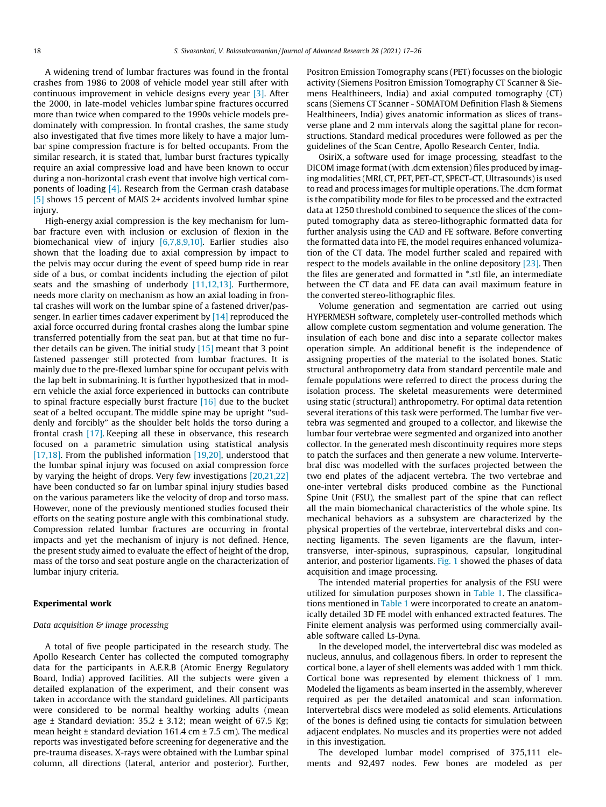A widening trend of lumbar fractures was found in the frontal crashes from 1986 to 2008 of vehicle model year still after with continuous improvement in vehicle designs every year [3]. After the 2000, in late-model vehicles lumbar spine fractures occurred more than twice when compared to the 1990s vehicle models predominately with compression. In frontal crashes, the same study also investigated that five times more likely to have a major lumbar spine compression fracture is for belted occupants. From the similar research, it is stated that, lumbar burst fractures typically require an axial compressive load and have been known to occur during a non-horizontal crash event that involve high vertical components of loading [4]. Research from the German crash database [5] shows 15 percent of MAIS 2+ accidents involved lumbar spine injury.

High-energy axial compression is the key mechanism for lumbar fracture even with inclusion or exclusion of flexion in the biomechanical view of injury [6,7,8,9,10]. Earlier studies also shown that the loading due to axial compression by impact to the pelvis may occur during the event of speed bump ride in rear side of a bus, or combat incidents including the ejection of pilot seats and the smashing of underbody [11,12,13]. Furthermore, needs more clarity on mechanism as how an axial loading in frontal crashes will work on the lumbar spine of a fastened driver/passenger. In earlier times cadaver experiment by [14] reproduced the axial force occurred during frontal crashes along the lumbar spine transferred potentially from the seat pan, but at that time no further details can be given. The initial study  $[15]$  meant that 3 point fastened passenger still protected from lumbar fractures. It is mainly due to the pre-flexed lumbar spine for occupant pelvis with the lap belt in submarining. It is further hypothesized that in modern vehicle the axial force experienced in buttocks can contribute to spinal fracture especially burst fracture [16] due to the bucket seat of a belted occupant. The middle spine may be upright ''suddenly and forcibly" as the shoulder belt holds the torso during a frontal crash [17]. Keeping all these in observance, this research focused on a parametric simulation using statistical analysis [17,18]. From the published information [19,20], understood that the lumbar spinal injury was focused on axial compression force by varying the height of drops. Very few investigations [20,21,22] have been conducted so far on lumbar spinal injury studies based on the various parameters like the velocity of drop and torso mass. However, none of the previously mentioned studies focused their efforts on the seating posture angle with this combinational study. Compression related lumbar fractures are occurring in frontal impacts and yet the mechanism of injury is not defined. Hence, the present study aimed to evaluate the effect of height of the drop, mass of the torso and seat posture angle on the characterization of lumbar injury criteria.

#### Experimental work

## *Data acquisition & image processing*

A total of five people participated in the research study. The Apollo Research Center has collected the computed tomography data for the participants in A.E.R.B (Atomic Energy Regulatory Board, India) approved facilities. All the subjects were given a detailed explanation of the experiment, and their consent was taken in accordance with the standard guidelines. All participants were considered to be normal healthy working adults (mean age  $\pm$  Standard deviation: 35.2  $\pm$  3.12; mean weight of 67.5 Kg; mean height  $\pm$  standard deviation 161.4 cm  $\pm$  7.5 cm). The medical reports was investigated before screening for degenerative and the pre-trauma diseases. X-rays were obtained with the Lumbar spinal column, all directions (lateral, anterior and posterior). Further, Positron Emission Tomography scans (PET) focusses on the biologic activity (Siemens Positron Emission Tomography CT Scanner & Siemens Healthineers, India) and axial computed tomography (CT) scans (Siemens CT Scanner - SOMATOM Definition Flash & Siemens Healthineers, India) gives anatomic information as slices of transverse plane and 2 mm intervals along the sagittal plane for reconstructions. Standard medical procedures were followed as per the guidelines of the Scan Centre, Apollo Research Center, India.

OsiriX, a software used for image processing, steadfast to the DICOM image format (with .dcm extension) files produced by imaging modalities (MRI, CT, PET, PET-CT, SPECT-CT, Ultrasounds) is used to read and process images for multiple operations. The .dcm format is the compatibility mode for files to be processed and the extracted data at 1250 threshold combined to sequence the slices of the computed tomography data as stereo-lithographic formatted data for further analysis using the CAD and FE software. Before converting the formatted data into FE, the model requires enhanced volumization of the CT data. The model further scaled and repaired with respect to the models available in the online depository [23]. Then the files are generated and formatted in \*.stl file, an intermediate between the CT data and FE data can avail maximum feature in the converted stereo-lithographic files.

Volume generation and segmentation are carried out using HYPERMESH software, completely user-controlled methods which allow complete custom segmentation and volume generation. The insulation of each bone and disc into a separate collector makes operation simple. An additional benefit is the independence of assigning properties of the material to the isolated bones. Static structural anthropometry data from standard percentile male and female populations were referred to direct the process during the isolation process. The skeletal measurements were determined using static (structural) anthropometry. For optimal data retention several iterations of this task were performed. The lumbar five vertebra was segmented and grouped to a collector, and likewise the lumbar four vertebrae were segmented and organized into another collector. In the generated mesh discontinuity requires more steps to patch the surfaces and then generate a new volume. Intervertebral disc was modelled with the surfaces projected between the two end plates of the adjacent vertebra. The two vertebrae and one-inter vertebral disks produced combine as the Functional Spine Unit (FSU), the smallest part of the spine that can reflect all the main biomechanical characteristics of the whole spine. Its mechanical behaviors as a subsystem are characterized by the physical properties of the vertebrae, intervertebral disks and connecting ligaments. The seven ligaments are the flavum, intertransverse, inter-spinous, supraspinous, capsular, longitudinal anterior, and posterior ligaments. Fig. 1 showed the phases of data acquisition and image processing.

The intended material properties for analysis of the FSU were utilized for simulation purposes shown in Table 1. The classifications mentioned in Table 1 were incorporated to create an anatomically detailed 3D FE model with enhanced extracted features. The Finite element analysis was performed using commercially available software called Ls-Dyna.

In the developed model, the intervertebral disc was modeled as nucleus, annulus, and collagenous fibers. In order to represent the cortical bone, a layer of shell elements was added with 1 mm thick. Cortical bone was represented by element thickness of 1 mm. Modeled the ligaments as beam inserted in the assembly, wherever required as per the detailed anatomical and scan information. Intervertebral discs were modeled as solid elements. Articulations of the bones is defined using tie contacts for simulation between adjacent endplates. No muscles and its properties were not added in this investigation.

The developed lumbar model comprised of 375,111 elements and 92,497 nodes. Few bones are modeled as per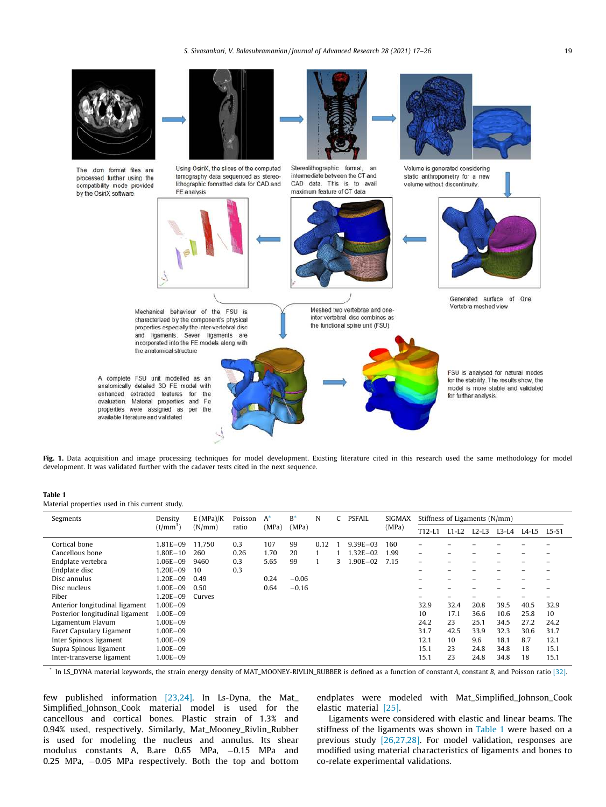*S. Sivasankari, V. Balasubramanian / Journal of Advanced Research 28 (2021) 17–26* 19



Fig. 1. Data acquisition and image processing techniques for model development. Existing literature cited in this research used the same methodology for model development. It was validated further with the cadaver tests cited in the next sequence.

#### Table 1

Material properties used in this current study.

| Segments                        | Density              | E(MPa)/K | Poisson | $A^*$ | $B^*$   | N    | <b>PSFAIL</b><br><b>SIGMAX</b> |              |       | Stiffness of Ligaments (N/mm) |         |         |         |         |         |
|---------------------------------|----------------------|----------|---------|-------|---------|------|--------------------------------|--------------|-------|-------------------------------|---------|---------|---------|---------|---------|
|                                 | (t/mm <sup>3</sup> ) | (N/mm)   | ratio   | (MPa) | (MPa)   |      |                                |              | (MPa) | $T12-L1$                      | $L1-L2$ | $L2-L3$ | $L3-L4$ | $L4-L5$ | $L5-S1$ |
| Cortical bone                   | 1.81E-09             | 11.750   | 0.3     | 107   | 99      | 0.12 |                                | $9.39E - 03$ | 160   |                               |         |         |         |         |         |
| Cancellous bone                 | $1.80E - 10$         | 260      | 0.26    | 1.70  | 20      |      |                                | $.32E - 02$  | 1.99  | ۰                             |         |         |         |         |         |
| Endplate vertebra               | 1.06E-09             | 9460     | 0.3     | 5.65  | 99      |      | 3.                             | $.90E - 02$  | 7.15  | ۰                             |         |         |         |         |         |
| Endplate disc                   | $1.20E - 09$         | 10       | 0.3     |       |         |      |                                |              |       |                               |         |         |         |         |         |
| Disc annulus                    | $.20E - 09$          | 0.49     |         | 0.24  | $-0.06$ |      |                                |              |       | -                             |         |         |         |         |         |
| Disc nucleus                    | 1.00E-09             | 0.50     |         | 0.64  | $-0.16$ |      |                                |              |       | -                             | -       |         |         |         |         |
| Fiber                           | $.20E - 09$          | Curves   |         |       |         |      |                                |              |       | -                             | -       |         |         |         |         |
| Anterior longitudinal ligament  | $1.00E - 0.9$        |          |         |       |         |      |                                |              |       | 32.9                          | 32.4    | 20.8    | 39.5    | 40.5    | 32.9    |
| Posterior longitudinal ligament | 1.00E-09             |          |         |       |         |      |                                |              |       | 10                            | 17.1    | 36.6    | 10.6    | 25.8    | 10      |
| Ligamentum Flavum               | 1.00E-09             |          |         |       |         |      |                                |              |       | 24.2                          | 23      | 25.1    | 34.5    | 27.2    | 24.2    |
| Facet Capsulary Ligament        | $1.00E - 09$         |          |         |       |         |      |                                |              |       | 31.7                          | 42.5    | 33.9    | 32.3    | 30.6    | 31.7    |
| Inter Spinous ligament          | 1.00E-09             |          |         |       |         |      |                                |              |       | 12.1                          | 10      | 9.6     | 18.1    | 8.7     | 12.1    |
| Supra Spinous ligament          | $1.00E - 09$         |          |         |       |         |      |                                |              |       | 15.1                          | 23      | 24.8    | 34.8    | 18      | 15.1    |
| Inter-transverse ligament       | $1.00E - 09$         |          |         |       |         |      |                                |              |       | 15.1                          | 23      | 24.8    | 34.8    | 18      | 15.1    |

\* In LS\_DYNA material keywords, the strain energy density of MAT\_MOONEY-RIVLIN\_RUBBER is defined as a function of constant *A*, constant *B*, and Poisson ratio [32].

few published information [23,24]. In Ls-Dyna, the Mat\_ Simplified\_Johnson\_Cook material model is used for the cancellous and cortical bones. Plastic strain of 1.3% and 0.94% used, respectively. Similarly, Mat\_Mooney\_Rivlin\_Rubber is used for modeling the nucleus and annulus. Its shear modulus constants A, B.are 0.65 MPa, -0.15 MPa and 0.25 MPa,  $-0.05$  MPa respectively. Both the top and bottom endplates were modeled with Mat\_Simplified\_Johnson\_Cook elastic material [25].

Ligaments were considered with elastic and linear beams. The stiffness of the ligaments was shown in Table 1 were based on a previous study [26,27,28]. For model validation, responses are modified using material characteristics of ligaments and bones to co-relate experimental validations.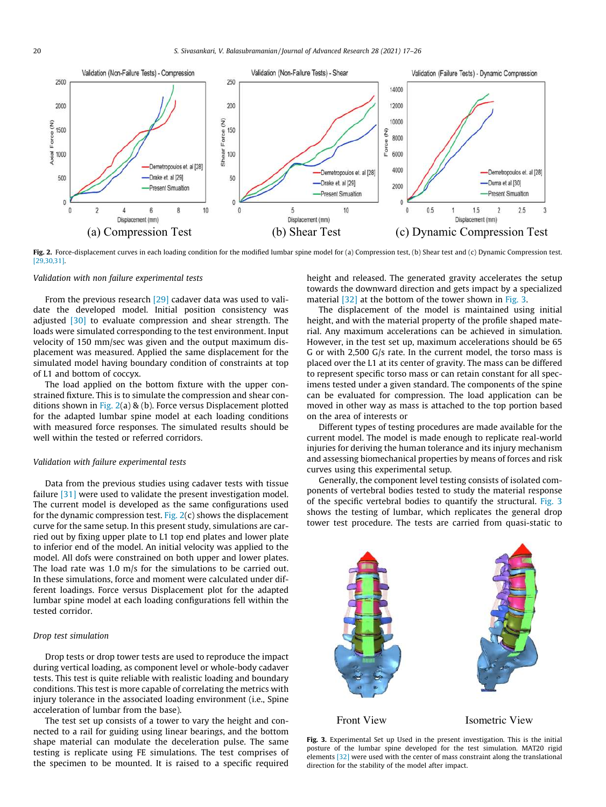

Fig. 2. Force-displacement curves in each loading condition for the modified lumbar spine model for (a) Compression test, (b) Shear test and (c) Dynamic Compression test. [29,30,31].

#### *Validation with non failure experimental tests*

From the previous research [29] cadaver data was used to validate the developed model. Initial position consistency was adjusted [30] to evaluate compression and shear strength. The loads were simulated corresponding to the test environment. Input velocity of 150 mm/sec was given and the output maximum displacement was measured. Applied the same displacement for the simulated model having boundary condition of constraints at top of L1 and bottom of coccyx.

The load applied on the bottom fixture with the upper constrained fixture. This is to simulate the compression and shear conditions shown in Fig. 2(a) & (b). Force versus Displacement plotted for the adapted lumbar spine model at each loading conditions with measured force responses. The simulated results should be well within the tested or referred corridors.

## *Validation with failure experimental tests*

Data from the previous studies using cadaver tests with tissue failure [31] were used to validate the present investigation model. The current model is developed as the same configurations used for the dynamic compression test. Fig. 2(c) shows the displacement curve for the same setup. In this present study, simulations are carried out by fixing upper plate to L1 top end plates and lower plate to inferior end of the model. An initial velocity was applied to the model. All dofs were constrained on both upper and lower plates. The load rate was 1.0 m/s for the simulations to be carried out. In these simulations, force and moment were calculated under different loadings. Force versus Displacement plot for the adapted lumbar spine model at each loading configurations fell within the tested corridor.

#### *Drop test simulation*

Drop tests or drop tower tests are used to reproduce the impact during vertical loading, as component level or whole-body cadaver tests. This test is quite reliable with realistic loading and boundary conditions. This test is more capable of correlating the metrics with injury tolerance in the associated loading environment (i.e., Spine acceleration of lumbar from the base).

The test set up consists of a tower to vary the height and connected to a rail for guiding using linear bearings, and the bottom shape material can modulate the deceleration pulse. The same testing is replicate using FE simulations. The test comprises of the specimen to be mounted. It is raised to a specific required height and released. The generated gravity accelerates the setup towards the downward direction and gets impact by a specialized material [32] at the bottom of the tower shown in Fig. 3.

The displacement of the model is maintained using initial height, and with the material property of the profile shaped material. Any maximum accelerations can be achieved in simulation. However, in the test set up, maximum accelerations should be 65 G or with 2,500 G/s rate. In the current model, the torso mass is placed over the L1 at its center of gravity. The mass can be differed to represent specific torso mass or can retain constant for all specimens tested under a given standard. The components of the spine can be evaluated for compression. The load application can be moved in other way as mass is attached to the top portion based on the area of interests or

Different types of testing procedures are made available for the current model. The model is made enough to replicate real-world injuries for deriving the human tolerance and its injury mechanism and assessing biomechanical properties by means of forces and risk curves using this experimental setup.

Generally, the component level testing consists of isolated components of vertebral bodies tested to study the material response of the specific vertebral bodies to quantify the structural. Fig. 3 shows the testing of lumbar, which replicates the general drop tower test procedure. The tests are carried from quasi-static to



Fig. 3. Experimental Set up Used in the present investigation. This is the initial posture of the lumbar spine developed for the test simulation. MAT20 rigid elements [32] were used with the center of mass constraint along the translational direction for the stability of the model after impact.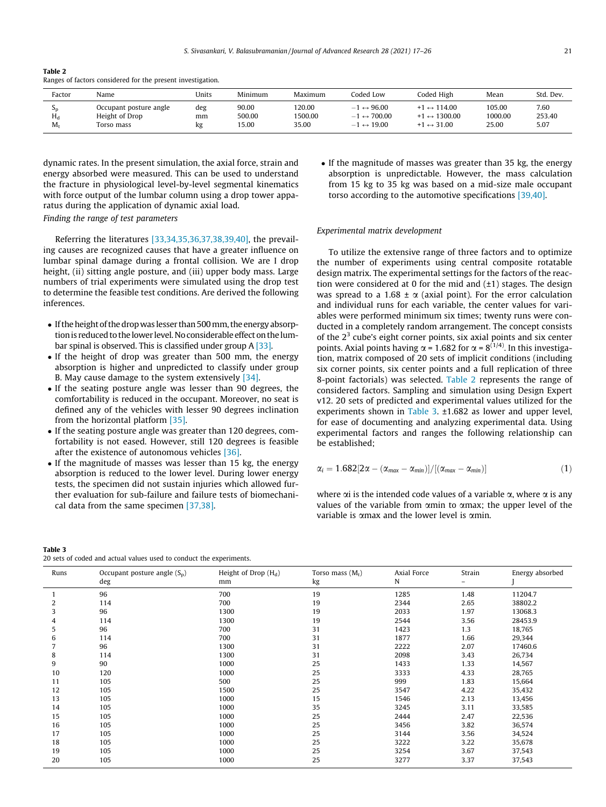| Table 2                                                     |  |  |
|-------------------------------------------------------------|--|--|
| Ranges of factors considered for the present investigation. |  |  |

| Factor            | Name                                                   | Units           | Minimum                  | Maximum                    | Coded Low                                                                                               | Coded High                                                                             | Mean                       | Std. Dev.              |
|-------------------|--------------------------------------------------------|-----------------|--------------------------|----------------------------|---------------------------------------------------------------------------------------------------------|----------------------------------------------------------------------------------------|----------------------------|------------------------|
| Эn<br>$H_d$<br>M. | Occupant posture angle<br>Height of Drop<br>Torso mass | deg<br>mm<br>kg | 90.00<br>500.00<br>15.00 | 120.00<br>1500.00<br>35.00 | $\leftrightarrow$ 96.00<br>- 1<br>700.00<br>$\leftrightarrow$<br>$-$<br>$\leftrightarrow$ 19.00<br>$-1$ | $+1 \leftrightarrow 114.00$<br>1300.00<br>$\leftrightarrow$<br>$\leftrightarrow$ 31.00 | 105.00<br>1000.00<br>25.00 | 7.60<br>253.40<br>5.07 |

dynamic rates. In the present simulation, the axial force, strain and energy absorbed were measured. This can be used to understand the fracture in physiological level-by-level segmental kinematics with force output of the lumbar column using a drop tower apparatus during the application of dynamic axial load. *Finding the range of test parameters*

Referring the literatures [33,34,35,36,37,38,39,40], the prevailing causes are recognized causes that have a greater influence on lumbar spinal damage during a frontal collision. We are I drop height, (ii) sitting angle posture, and (iii) upper body mass. Large numbers of trial experiments were simulated using the drop test to determine the feasible test conditions. Are derived the following inferences.

- If the height of the drop was lesser than 500 mm, the energy absorption is reduced to the lower level. No considerable effect on the lumbar spinal is observed. This is classified under group A [33].
- If the height of drop was greater than 500 mm, the energy absorption is higher and unpredicted to classify under group B. May cause damage to the system extensively [34].
- If the seating posture angle was lesser than 90 degrees, the comfortability is reduced in the occupant. Moreover, no seat is defined any of the vehicles with lesser 90 degrees inclination from the horizontal platform [35].
- If the seating posture angle was greater than 120 degrees, comfortability is not eased. However, still 120 degrees is feasible after the existence of autonomous vehicles [36].
- If the magnitude of masses was lesser than 15 kg, the energy absorption is reduced to the lower level. During lower energy tests, the specimen did not sustain injuries which allowed further evaluation for sub-failure and failure tests of biomechanical data from the same specimen [37,38].

Table 3 20 sets of coded and actual values used to conduct the experiments.

| • If the magnitude of masses was greater than 35 kg, the energy |
|-----------------------------------------------------------------|
| absorption is unpredictable. However, the mass calculation      |
| from 15 kg to 35 kg was based on a mid-size male occupant       |
| torso according to the automotive specifications [39.40].       |
|                                                                 |

#### *Experimental matrix development*

To utilize the extensive range of three factors and to optimize the number of experiments using central composite rotatable design matrix. The experimental settings for the factors of the reaction were considered at 0 for the mid and  $(\pm 1)$  stages. The design was spread to a 1.68  $\pm \alpha$  (axial point). For the error calculation and individual runs for each variable, the center values for variables were performed minimum six times; twenty runs were conducted in a completely random arrangement. The concept consists of the  $2<sup>3</sup>$  cube's eight corner points, six axial points and six center points. Axial points having  $\alpha$  = 1.682 for  $\alpha$  = 8<sup>(1/4)</sup>. In this investigation, matrix composed of 20 sets of implicit conditions (including six corner points, six center points and a full replication of three 8-point factorials) was selected. Table 2 represents the range of considered factors. Sampling and simulation using Design Expert v12. 20 sets of predicted and experimental values utilized for the experiments shown in Table 3. ±1.682 as lower and upper level, for ease of documenting and analyzing experimental data. Using experimental factors and ranges the following relationship can be established;

$$
\alpha_i = 1.682[2\alpha - (\alpha_{max} - \alpha_{min})]/[(\alpha_{max} - \alpha_{min})]
$$
\n(1)

where  $\alpha$  is the intended code values of a variable  $\alpha$ , where  $\alpha$  is any values of the variable from amin to amax; the upper level of the variable is  $\alpha$ max and the lower level is  $\alpha$ min.

| Runs | Occupant posture angle $(S_p)$<br>deg | Height of Drop $(H_d)$<br>mm | Torso mass $(M_t)$<br>kg | Axial Force<br>N | Strain<br>- | Energy absorbed |
|------|---------------------------------------|------------------------------|--------------------------|------------------|-------------|-----------------|
|      | 96                                    | 700                          | 19                       | 1285             | 1.48        | 11204.7         |
| 2    | 114                                   | 700                          | 19                       | 2344             | 2.65        | 38802.2         |
| 3    | 96                                    | 1300                         | 19                       | 2033             | 1.97        | 13068.3         |
| 4    | 114                                   | 1300                         | 19                       | 2544             | 3.56        | 28453.9         |
| 5    | 96                                    | 700                          | 31                       | 1423             | 1.3         | 18,765          |
| 6    | 114                                   | 700                          | 31                       | 1877             | 1.66        | 29,344          |
|      | 96                                    | 1300                         | 31                       | 2222             | 2.07        | 17460.6         |
| 8    | 114                                   | 1300                         | 31                       | 2098             | 3.43        | 26,734          |
| 9    | 90                                    | 1000                         | 25                       | 1433             | 1.33        | 14,567          |
| 10   | 120                                   | 1000                         | 25                       | 3333             | 4.33        | 28,765          |
| 11   | 105                                   | 500                          | 25                       | 999              | 1.83        | 15,664          |
| 12   | 105                                   | 1500                         | 25                       | 3547             | 4.22        | 35,432          |
| 13   | 105                                   | 1000                         | 15                       | 1546             | 2.13        | 13,456          |
| 14   | 105                                   | 1000                         | 35                       | 3245             | 3.11        | 33,585          |
| 15   | 105                                   | 1000                         | 25                       | 2444             | 2.47        | 22,536          |
| 16   | 105                                   | 1000                         | 25                       | 3456             | 3.82        | 36,574          |
| 17   | 105                                   | 1000                         | 25                       | 3144             | 3.56        | 34,524          |
| 18   | 105                                   | 1000                         | 25                       | 3222             | 3.22        | 35,678          |
| 19   | 105                                   | 1000                         | 25                       | 3254             | 3.67        | 37,543          |
| 20   | 105                                   | 1000                         | 25                       | 3277             | 3.37        | 37,543          |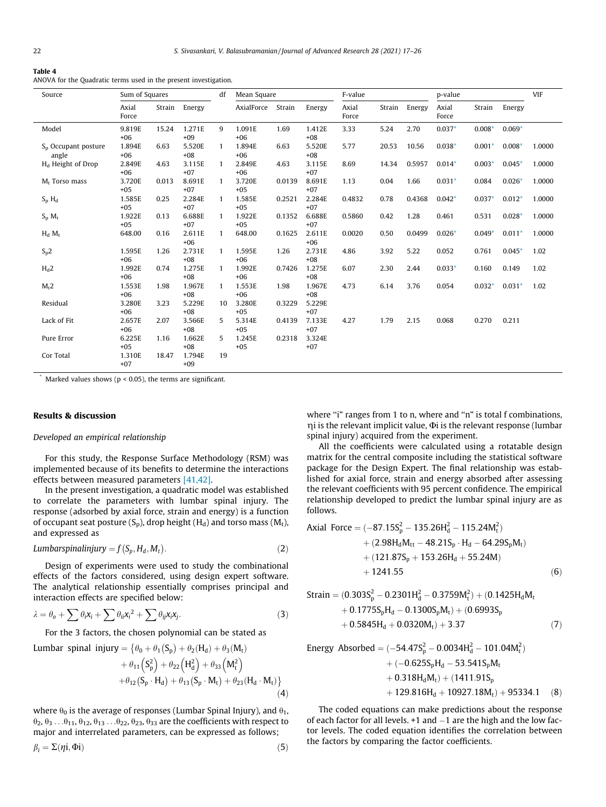#### Table 4

ANOVA for the Quadratic terms used in the present investigation.

| Source                          | Sum of Squares  |        |                 | df           | Mean Square      | F-value |                 |                |        |        | p-value        |          |          | <b>VIF</b> |
|---------------------------------|-----------------|--------|-----------------|--------------|------------------|---------|-----------------|----------------|--------|--------|----------------|----------|----------|------------|
|                                 | Axial<br>Force  | Strain | Energy          |              | AxialForce       | Strain  | Energy          | Axial<br>Force | Strain | Energy | Axial<br>Force | Strain   | Energy   |            |
| Model                           | 9.819E<br>$+06$ | 15.24  | 1.271E<br>$+09$ | 9            | 1.091E<br>$+06$  | 1.69    | 1.412E<br>$+08$ | 3.33           | 5.24   | 2.70   | $0.037*$       | $0.008*$ | $0.069*$ |            |
| $S_n$ Occupant posture<br>angle | 1.894E<br>$+06$ | 6.63   | 5.520E<br>$+08$ | $\mathbf{1}$ | 1.894E<br>$+06$  | 6.63    | 5.520E<br>$+08$ | 5.77           | 20.53  | 10.56  | $0.038*$       | $0.001*$ | $0.008*$ | 1.0000     |
| H <sub>d</sub> Height of Drop   | 2.849E<br>$+06$ | 4.63   | 3.115E<br>$+07$ | $\mathbf{1}$ | 2.849E<br>$+06$  | 4.63    | 3.115E<br>$+07$ | 8.69           | 14.34  | 0.5957 | $0.014*$       | $0.003*$ | $0.045*$ | 1.0000     |
| $M_t$ Torso mass                | 3.720E<br>$+05$ | 0.013  | 8.691E<br>$+07$ | $\mathbf{1}$ | 3.720E<br>$+05$  | 0.0139  | 8.691E<br>$+07$ | 1.13           | 0.04   | 1.66   | $0.031*$       | 0.084    | $0.026*$ | 1.0000     |
| $S_p H_d$                       | 1.585E<br>$+05$ | 0.25   | 2.284E<br>$+07$ | $\mathbf{1}$ | 1.585E<br>$+05$  | 0.2521  | 2.284E<br>$+07$ | 0.4832         | 0.78   | 0.4368 | $0.042*$       | $0.037*$ | $0.012*$ | 1.0000     |
| $S_{p} M_{t}$                   | 1.922E<br>$+05$ | 0.13   | 6.688E<br>$+07$ | $\mathbf{1}$ | 1.922E<br>$+0.5$ | 0.1352  | 6.688E<br>$+07$ | 0.5860         | 0.42   | 1.28   | 0.461          | 0.531    | $0.028*$ | 1.0000     |
| $H_d$ $M_t$                     | 648.00          | 0.16   | 2.611E<br>$+06$ | 1            | 648.00           | 0.1625  | 2.611E<br>$+06$ | 0.0020         | 0.50   | 0.0499 | $0.026*$       | $0.049*$ | $0.011*$ | 1.0000     |
| $S_p2$                          | 1.595E<br>$+06$ | 1.26   | 2.731E<br>$+08$ | $\mathbf{1}$ | 1.595E<br>$+06$  | 1.26    | 2.731E<br>$+08$ | 4.86           | 3.92   | 5.22   | 0.052          | 0.761    | $0.045*$ | 1.02       |
| $H_d2$                          | 1.992E<br>$+06$ | 0.74   | 1.275E<br>$+08$ | $\mathbf{1}$ | 1.992E<br>$+06$  | 0.7426  | 1.275E<br>$+08$ | 6.07           | 2.30   | 2.44   | $0.033*$       | 0.160    | 0.149    | 1.02       |
| $M_t2$                          | 1.553E<br>$+06$ | 1.98   | 1.967E<br>$+08$ | $\mathbf{1}$ | 1.553E<br>$+06$  | 1.98    | 1.967E<br>$+08$ | 4.73           | 6.14   | 3.76   | 0.054          | $0.032*$ | $0.031*$ | 1.02       |
| Residual                        | 3.280E<br>$+06$ | 3.23   | 5.229E<br>$+08$ | 10           | 3.280E<br>$+05$  | 0.3229  | 5.229E<br>$+07$ |                |        |        |                |          |          |            |
| Lack of Fit                     | 2.657E<br>$+06$ | 2.07   | 3.566E<br>$+08$ | 5            | 5.314E<br>$+05$  | 0.4139  | 7.133E<br>$+07$ | 4.27           | 1.79   | 2.15   | 0.068          | 0.270    | 0.211    |            |
| Pure Error                      | 6.225E<br>$+05$ | 1.16   | 1.662E<br>$+08$ | 5            | 1.245E<br>$+05$  | 0.2318  | 3.324E<br>$+07$ |                |        |        |                |          |          |            |
| Cor Total                       | 1.310E<br>$+07$ | 18.47  | 1.794E<br>$+09$ | 19           |                  |         |                 |                |        |        |                |          |          |            |

 $*$  Marked values shows ( $p < 0.05$ ), the terms are significant.

## Results & discussion

#### *Developed an empirical relationship*

For this study, the Response Surface Methodology (RSM) was implemented because of its benefits to determine the interactions effects between measured parameters [41,42].

In the present investigation, a quadratic model was established to correlate the parameters with lumbar spinal injury. The response (adsorbed by axial force, strain and energy) is a function of occupant seat posture  $(S_p)$ , drop height  $(H_d)$  and torso mass  $(M_t)$ , and expressed as

$$
Lumbarspinalinjury = f(S_p, H_d, M_t).
$$
\n(2)

Design of experiments were used to study the combinational effects of the factors considered, using design expert software. The analytical relationship essentially comprises principal and interaction effects are specified below:

$$
\lambda = \theta_{o} + \sum \theta_{i} x_{i} + \sum \theta_{ii} x_{i}^{2} + \sum \theta_{ij} x_{i} x_{j}.
$$
 (3)

For the 3 factors, the chosen polynomial can be stated as

Lumbar spinal injury = 
$$
\{\theta_0 + \theta_1(S_p) + \theta_2(H_d) + \theta_3(M_t)
$$
  
+  $\theta_{11}(S_p^2) + \theta_{22}(H_d^2) + \theta_{33}(M_t^2)$   
+  $\theta_{12}(S_p \cdot H_d) + \theta_{13}(S_p \cdot M_t) + \theta_{23}(H_d \cdot M_t)\}$  (4)

where  $\theta_0$  is the average of responses (Lumbar Spinal Injury), and  $\theta_1$ ,  $\theta_2$ ,  $\theta_3$  ... $\theta_{11}$ ,  $\theta_{12}$ ,  $\theta_{13}$  ... $\theta_{22}$ ,  $\theta_{23}$ ,  $\theta_{33}$  are the coefficients with respect to major and interrelated parameters, can be expressed as follows;

$$
\beta_i = \Sigma(\eta i, \Phi i) \tag{5}
$$

where "i" ranges from 1 to n, where and "n" is total f combinations,  $\eta$ i is the relevant implicit value,  $\Phi$ i is the relevant response (lumbar spinal injury) acquired from the experiment.

All the coefficients were calculated using a rotatable design matrix for the central composite including the statistical software package for the Design Expert. The final relationship was established for axial force, strain and energy absorbed after assessing the relevant coefficients with 95 percent confidence. The empirical relationship developed to predict the lumbar spinal injury are as follows.

Axial Force = 
$$
(-87.15S_p^2 - 135.26H_d^2 - 115.24M_t^2)
$$
  
+  $(2.98H_dM_{tt} - 48.21S_p \cdot H_d - 64.29S_pM_t)$   
+  $(121.87S_p + 153.26H_d + 55.24M)$   
+  $1241.55$  (6)

Strain = 
$$
(0.303S_p^2 - 0.2301H_d^2 - 0.3759M_t^2) + (0.1425H_dM_t
$$
  
+ 0.1775S<sub>p</sub>H<sub>d</sub> - 0.1300S<sub>p</sub>M<sub>t</sub>) + (0.6993S<sub>p</sub>  
+ 0.5845H<sub>d</sub> + 0.0320M<sub>t</sub>) + 3.37 (7)

Energy Absorbed = 
$$
(-54.47S_p^2 - 0.0034H_d^2 - 101.04M_t^2)
$$
  
+  $(-0.625S_pH_d - 53.541S_pM_t$   
+  $0.318H_dM_t) + (1411.91S_p$   
+  $129.816H_d + 10927.18M_t) + 95334.1$  (8)

The coded equations can make predictions about the response of each factor for all levels.  $+1$  and  $-1$  are the high and the low factor levels. The coded equation identifies the correlation between the factors by comparing the factor coefficients.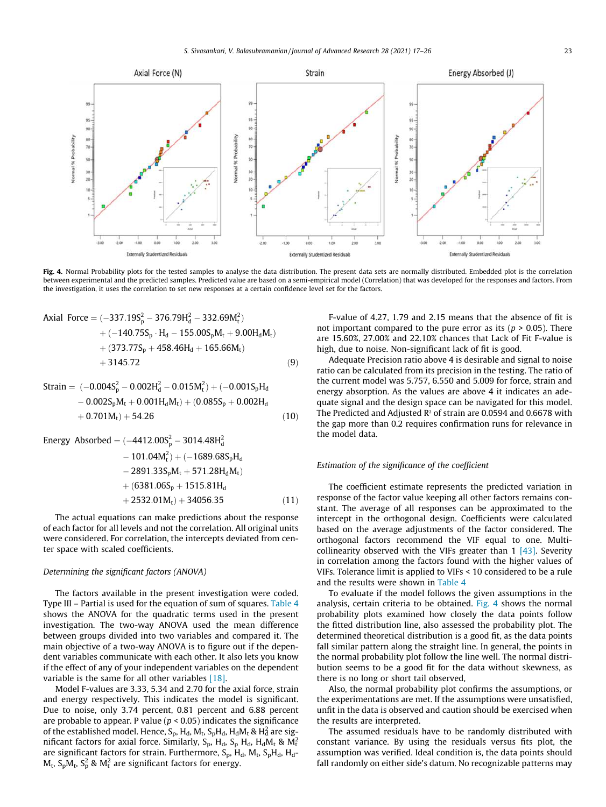

Fig. 4. Normal Probability plots for the tested samples to analyse the data distribution. The present data sets are normally distributed. Embedded plot is the correlation between experimental and the predicted samples. Predicted value are based on a semi-empirical model (Correlation) that was developed for the responses and factors. From the investigation, it uses the correlation to set new responses at a certain confidence level set for the factors.

Axial Force = 
$$
(-337.19S_p^2 - 376.79H_d^2 - 332.69M_t^2)
$$
  
+  $(-140.75S_p \cdot H_d - 155.00S_pM_t + 9.00H_dM_t)$   
+  $(373.77S_p + 458.46H_d + 165.66M_t)$   
+  $3145.72$  (9)

Strain = 
$$
(-0.004S_p^2 - 0.002H_d^2 - 0.015M_t^2) + (-0.001S_pH_d - 0.002S_pM_t + 0.001H_dM_t) + (0.085S_p + 0.002H_d + 0.701M_t) + 54.26
$$
 (10)

Energy Absorbed = 
$$
(-4412.00S_p^2 - 3014.48H_d^2
$$
  
- 101.04M<sub>t</sub><sup>2</sup> + (-1689.68S<sub>p</sub>H<sub>d</sub>  
- 2891.33S<sub>p</sub>M<sub>t</sub> + 571.28H<sub>d</sub>M<sub>t</sub>)  
+ (6381.06S<sub>p</sub> + 1515.81H<sub>d</sub>  
+ 2532.01M<sub>t</sub>) + 34056.35 (11)

The actual equations can make predictions about the response of each factor for all levels and not the correlation. All original units were considered. For correlation, the intercepts deviated from center space with scaled coefficients.

### *Determining the significant factors (ANOVA)*

The factors available in the present investigation were coded. Type III – Partial is used for the equation of sum of squares. Table 4 shows the ANOVA for the quadratic terms used in the present investigation. The two-way ANOVA used the mean difference between groups divided into two variables and compared it. The main objective of a two-way ANOVA is to figure out if the dependent variables communicate with each other. It also lets you know if the effect of any of your independent variables on the dependent variable is the same for all other variables [18].

Model F-values are 3.33, 5.34 and 2.70 for the axial force, strain and energy respectively. This indicates the model is significant. Due to noise, only 3.74 percent, 0.81 percent and 6.88 percent are probable to appear. P value ( $p < 0.05$ ) indicates the significance of the established model. Hence, S<sub>p</sub>, H<sub>d</sub>, M<sub>t</sub>, S<sub>p</sub>H<sub>d</sub>, H<sub>d</sub>M<sub>t</sub> & H<sub>d</sub> are significant factors for axial force. Similarly, S<sub>p</sub>, H<sub>d</sub>, S<sub>p</sub> H<sub>d</sub>, H<sub>d</sub>M<sub>t</sub> & M<sup>2</sup> are significant factors for strain. Furthermore, S<sub>p</sub>, H<sub>d</sub>, M<sub>t</sub>, S<sub>p</sub>H<sub>d</sub>, H<sub>d</sub>- $M_t$ ,  $S_p M_t$ ,  $S_p^2$  &  $M_t^2$  are significant factors for energy.

F-value of 4.27, 1.79 and 2.15 means that the absence of fit is not important compared to the pure error as its ( $p > 0.05$ ). There are 15.60%, 27.00% and 22.10% chances that Lack of Fit F-value is high, due to noise. Non-significant lack of fit is good.

Adequate Precision ratio above 4 is desirable and signal to noise ratio can be calculated from its precision in the testing. The ratio of the current model was 5.757, 6.550 and 5.009 for force, strain and energy absorption. As the values are above 4 it indicates an adequate signal and the design space can be navigated for this model. The Predicted and Adjusted R² of strain are 0.0594 and 0.6678 with the gap more than 0.2 requires confirmation runs for relevance in the model data.

### *Estimation of the significance of the coefficient*

The coefficient estimate represents the predicted variation in response of the factor value keeping all other factors remains constant. The average of all responses can be approximated to the intercept in the orthogonal design. Coefficients were calculated based on the average adjustments of the factor considered. The orthogonal factors recommend the VIF equal to one. Multicollinearity observed with the VIFs greater than  $1 \overline{43}$ . Severity in correlation among the factors found with the higher values of VIFs. Tolerance limit is applied to VIFs < 10 considered to be a rule and the results were shown in Table 4

To evaluate if the model follows the given assumptions in the analysis, certain criteria to be obtained. Fig. 4 shows the normal probability plots examined how closely the data points follow the fitted distribution line, also assessed the probability plot. The determined theoretical distribution is a good fit, as the data points fall similar pattern along the straight line. In general, the points in the normal probability plot follow the line well. The normal distribution seems to be a good fit for the data without skewness, as there is no long or short tail observed,

Also, the normal probability plot confirms the assumptions, or the experimentations are met. If the assumptions were unsatisfied, unfit in the data is observed and caution should be exercised when the results are interpreted.

The assumed residuals have to be randomly distributed with constant variance. By using the residuals versus fits plot, the assumption was verified. Ideal condition is, the data points should fall randomly on either side's datum. No recognizable patterns may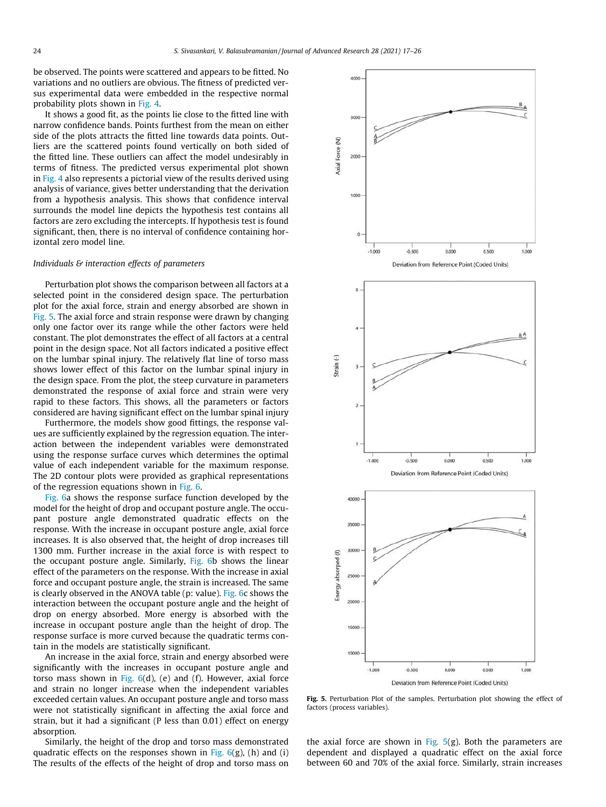be observed. The points were scattered and appears to be fitted. No variations and no outliers are obvious. The fitness of predicted versus experimental data were embedded in the respective normal probability plots shown in Fig. 4.

It shows a good fit, as the points lie close to the fitted line with narrow confidence bands. Points furthest from the mean on either side of the plots attracts the fitted line towards data points. Outliers are the scattered points found vertically on both sided of the fitted line. These outliers can affect the model undesirably in terms of fitness. The predicted versus experimental plot shown in Fig. 4 also represents a pictorial view of the results derived using analysis of variance, gives better understanding that the derivation from a hypothesis analysis. This shows that confidence interval surrounds the model line depicts the hypothesis test contains all factors are zero excluding the intercepts. If hypothesis test is found significant, then, there is no interval of confidence containing horizontal zero model line.

#### *Individuals & interaction effects of parameters*

Perturbation plot shows the comparison between all factors at a selected point in the considered design space. The perturbation plot for the axial force, strain and energy absorbed are shown in Fig. 5. The axial force and strain response were drawn by changing only one factor over its range while the other factors were held constant. The plot demonstrates the effect of all factors at a central point in the design space. Not all factors indicated a positive effect on the lumbar spinal injury. The relatively flat line of torso mass shows lower effect of this factor on the lumbar spinal injury in the design space. From the plot, the steep curvature in parameters demonstrated the response of axial force and strain were very rapid to these factors. This shows, all the parameters or factors considered are having significant effect on the lumbar spinal injury

Furthermore, the models show good fittings, the response values are sufficiently explained by the regression equation. The interaction between the independent variables were demonstrated using the response surface curves which determines the optimal value of each independent variable for the maximum response. The 2D contour plots were provided as graphical representations of the regression equations shown in Fig. 6.

Fig. 6a shows the response surface function developed by the model for the height of drop and occupant posture angle. The occupant posture angle demonstrated quadratic effects on the response. With the increase in occupant posture angle, axial force increases. It is also observed that, the height of drop increases till 1300 mm. Further increase in the axial force is with respect to the occupant posture angle. Similarly, Fig. 6b shows the linear effect of the parameters on the response. With the increase in axial force and occupant posture angle, the strain is increased. The same is clearly observed in the ANOVA table (p: value). Fig. 6c shows the interaction between the occupant posture angle and the height of drop on energy absorbed. More energy is absorbed with the increase in occupant posture angle than the height of drop. The response surface is more curved because the quadratic terms contain in the models are statistically significant.

An increase in the axial force, strain and energy absorbed were significantly with the increases in occupant posture angle and torso mass shown in Fig.  $6(d)$ , (e) and (f). However, axial force and strain no longer increase when the independent variables exceeded certain values. An occupant posture angle and torso mass were not statistically significant in affecting the axial force and strain, but it had a significant (P less than 0.01) effect on energy absorption.

Similarly, the height of the drop and torso mass demonstrated quadratic effects on the responses shown in Fig.  $6(g)$ , (h) and (i) The results of the effects of the height of drop and torso mass on



Fig. 5. Perturbation Plot of the samples. Perturbation plot showing the effect of factors (process variables).

the axial force are shown in Fig.  $5(g)$ . Both the parameters are dependent and displayed a quadratic effect on the axial force between 60 and 70% of the axial force. Similarly, strain increases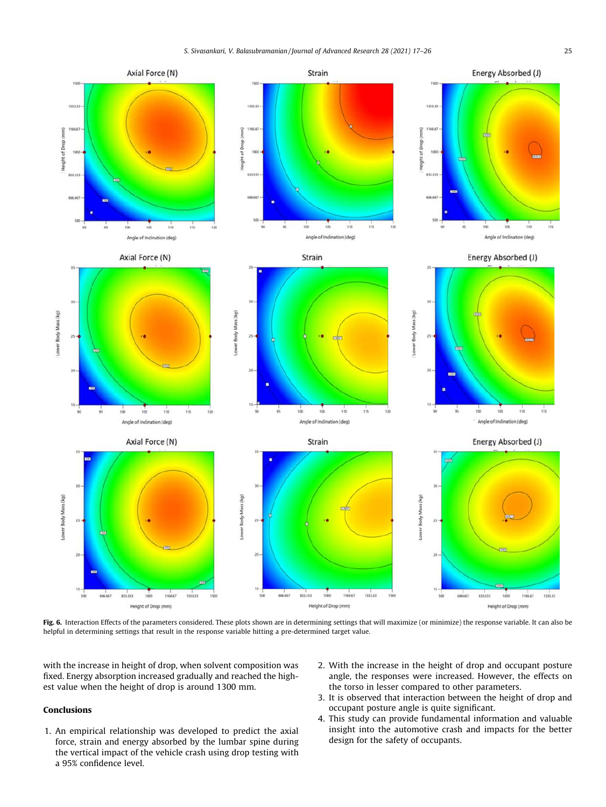

Fig. 6. Interaction Effects of the parameters considered. These plots shown are in determining settings that will maximize (or minimize) the response variable. It can also be helpful in determining settings that result in the response variable hitting a pre-determined target value.

with the increase in height of drop, when solvent composition was fixed. Energy absorption increased gradually and reached the highest value when the height of drop is around 1300 mm.

## Conclusions

- 1. An empirical relationship was developed to predict the axial force, strain and energy absorbed by the lumbar spine during the vertical impact of the vehicle crash using drop testing with a 95% confidence level.
- 2. With the increase in the height of drop and occupant posture angle, the responses were increased. However, the effects on the torso in lesser compared to other parameters.
- 3. It is observed that interaction between the height of drop and occupant posture angle is quite significant.
- 4. This study can provide fundamental information and valuable insight into the automotive crash and impacts for the better design for the safety of occupants.